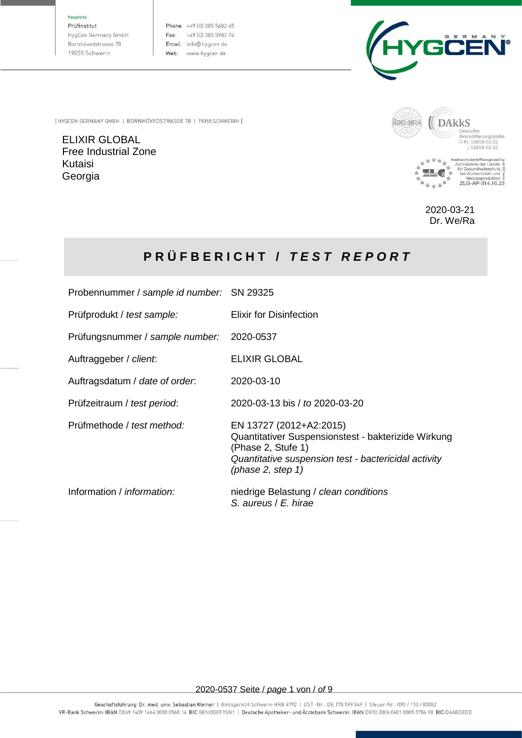#### Hauptsitz

Prüfinstitut HygCen Germany GmbH Bornhövedstrasse 78 19055 Schwerin

Phone: +49 (0) 385 5682 65 Fax: +49 (0) 385 5983 74 Email: info@hygcen.de Web: www.hygcen.de



[ HYGCEN GERMANY GMBH | BORNHÖVEDSTRASSE 78 | 19055 SCHWERIN ]

ELIXIR GLOBAL Free Industrial Zone Kutaisi Georgia



2020-03-21 Dr. We/Ra

# **P R Ü F B E R I C H T /** *T E S T R E P O R T*

| Probennummer / sample id number: SN 29325 |                                                                                                                                                                                      |
|-------------------------------------------|--------------------------------------------------------------------------------------------------------------------------------------------------------------------------------------|
| Prüfprodukt / test sample:                | Elixir for Disinfection                                                                                                                                                              |
| Prüfungsnummer / sample number: 2020-0537 |                                                                                                                                                                                      |
| Auftraggeber / client.                    | <b>ELIXIR GLOBAL</b>                                                                                                                                                                 |
| Auftragsdatum / date of order.            | 2020-03-10                                                                                                                                                                           |
| Prüfzeitraum / test period:               | 2020-03-13 bis / to 2020-03-20                                                                                                                                                       |
| Prüfmethode / test method:                | EN 13727 (2012+A2:2015)<br>Quantitativer Suspensionstest - bakterizide Wirkung<br>(Phase 2, Stufe 1)<br>Quantitative suspension test - bactericidal activity<br>(phase 2, step $1$ ) |
| Information / <i>information:</i>         | niedrige Belastung / clean conditions<br>S. aureus / E. hirae                                                                                                                        |

2020-0537 Seite / *page* 1 von / *of* 9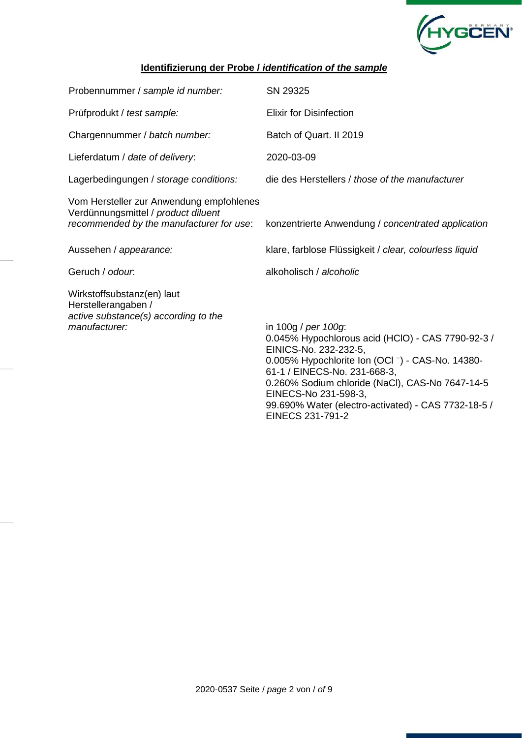

## **Identifizierung der Probe /** *identification of the sample*

| Probennummer / sample id number:                                                                                            | SN 29325                                                                                                                                                                                                                                                                                                                                    |
|-----------------------------------------------------------------------------------------------------------------------------|---------------------------------------------------------------------------------------------------------------------------------------------------------------------------------------------------------------------------------------------------------------------------------------------------------------------------------------------|
| Prüfprodukt / test sample:                                                                                                  | <b>Elixir for Disinfection</b>                                                                                                                                                                                                                                                                                                              |
| Chargennummer / batch number:                                                                                               | Batch of Quart. II 2019                                                                                                                                                                                                                                                                                                                     |
| Lieferdatum / date of delivery:                                                                                             | 2020-03-09                                                                                                                                                                                                                                                                                                                                  |
| Lagerbedingungen / storage conditions:                                                                                      | die des Herstellers / those of the manufacturer                                                                                                                                                                                                                                                                                             |
| Vom Hersteller zur Anwendung empfohlenes<br>Verdünnungsmittel / product diluent<br>recommended by the manufacturer for use: | konzentrierte Anwendung / concentrated application                                                                                                                                                                                                                                                                                          |
| Aussehen / appearance:                                                                                                      | klare, farblose Flüssigkeit / clear, colourless liquid                                                                                                                                                                                                                                                                                      |
| Geruch / odour.                                                                                                             | alkoholisch / alcoholic                                                                                                                                                                                                                                                                                                                     |
| Wirkstoffsubstanz(en) laut<br>Herstellerangaben /<br>active substance(s) according to the<br>manufacturer:                  | in 100g / per 100g:<br>0.045% Hypochlorous acid (HClO) - CAS 7790-92-3 /<br>EINICS-No. 232-232-5,<br>0.005% Hypochlorite Ion (OCI -) - CAS-No. 14380-<br>61-1 / EINECS-No. 231-668-3,<br>0.260% Sodium chloride (NaCl), CAS-No 7647-14-5<br>EINECS-No 231-598-3,<br>99.690% Water (electro-activated) - CAS 7732-18-5 /<br>EINECS 231-791-2 |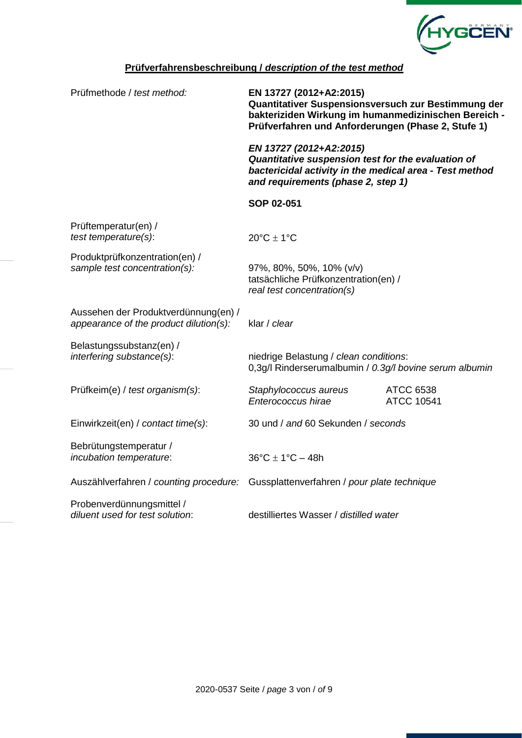

## **Prüfverfahrensbeschreibung /** *description of the test method*

| Prüfmethode / test method:                                                         | EN 13727 (2012+A2:2015)<br>Quantitativer Suspensionsversuch zur Bestimmung der<br>bakteriziden Wirkung im humanmedizinischen Bereich -<br>Prüfverfahren und Anforderungen (Phase 2, Stufe 1) |                                       |
|------------------------------------------------------------------------------------|----------------------------------------------------------------------------------------------------------------------------------------------------------------------------------------------|---------------------------------------|
|                                                                                    | EN 13727 (2012+A2:2015)<br>Quantitative suspension test for the evaluation of<br>bactericidal activity in the medical area - Test method<br>and requirements (phase 2, step 1)               |                                       |
|                                                                                    | SOP 02-051                                                                                                                                                                                   |                                       |
| Prüftemperatur(en) /<br>test temperature(s):                                       | $20^{\circ}$ C $\pm$ 1°C                                                                                                                                                                     |                                       |
| Produktprüfkonzentration(en) /<br>sample test concentration(s):                    | 97%, 80%, 50%, 10% (v/v)<br>tatsächliche Prüfkonzentration(en) /<br>real test concentration(s)                                                                                               |                                       |
| Aussehen der Produktverdünnung(en) /<br>appearance of the product dilution(s):     | klar / clear                                                                                                                                                                                 |                                       |
| Belastungssubstanz(en) /<br>interfering substance(s):                              | niedrige Belastung / clean conditions:<br>0,3g/l Rinderserumalbumin / 0.3g/l bovine serum albumin                                                                                            |                                       |
| Prüfkeim(e) / test organism(s):                                                    | Staphylococcus aureus<br>Enterococcus hirae                                                                                                                                                  | <b>ATCC 6538</b><br><b>ATCC 10541</b> |
| Einwirkzeit(en) / contact time(s):                                                 | 30 und / and 60 Sekunden / seconds                                                                                                                                                           |                                       |
| Bebrütungstemperatur /<br>incubation temperature:                                  | $36^{\circ}$ C ± 1 $^{\circ}$ C - 48h                                                                                                                                                        |                                       |
| Auszählverfahren / counting procedure: Gussplattenverfahren / pour plate technique |                                                                                                                                                                                              |                                       |
| Probenverdünnungsmittel /<br>diluent used for test solution:                       | destilliertes Wasser / distilled water                                                                                                                                                       |                                       |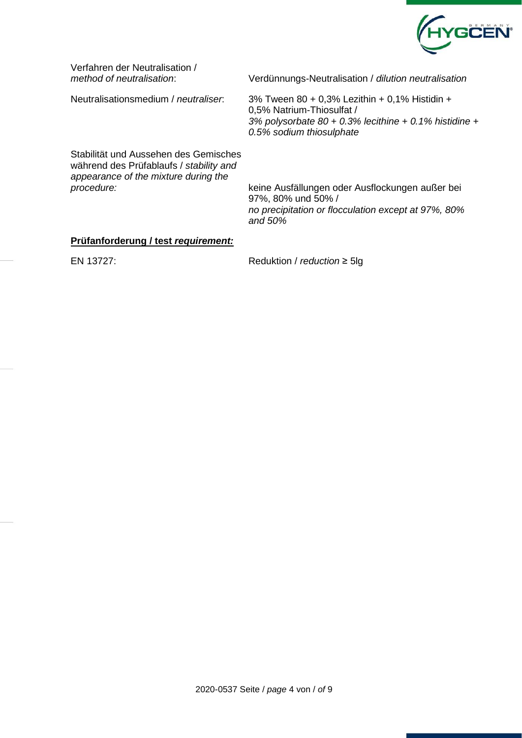

Verfahren der Neutralisation /<br>method of neutralisation:

*method of neutralisation*: Verdünnungs-Neutralisation / *dilution neutralisation*

Neutralisationsmedium / *neutraliser*: 3% Tween 80 + 0,3% Lezithin + 0,1% Histidin +

0,5% Natrium-Thiosulfat / *3% polysorbate 80 + 0.3% lecithine + 0.1% histidine + 0.5% sodium thiosulphate*

Stabilität und Aussehen des Gemisches während des Prüfablaufs / *stability and appearance of the mixture during the* 

*procedure:* keine Ausfällungen oder Ausflockungen außer bei 97%, 80% und 50% / *no precipitation or flocculation except at 97%, 80% and 50%*

#### **Prüfanforderung / test** *requirement:*

EN 13727: Reduktion / *reduction* ≥ 5lg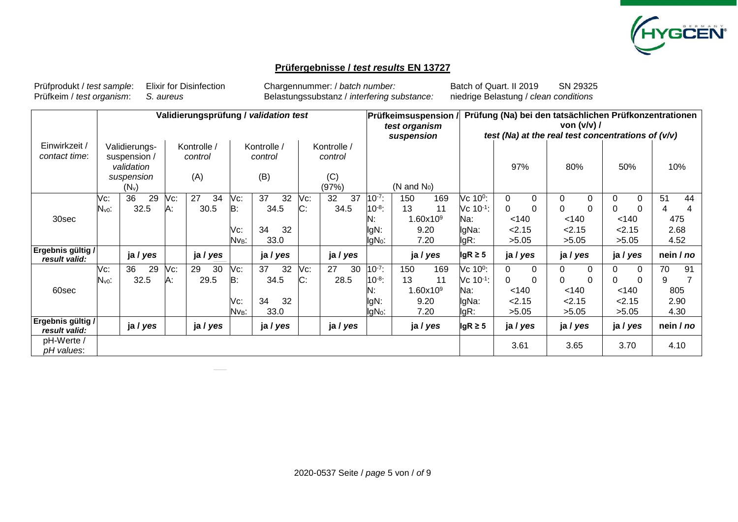

### **Prüfergebnisse /** *test results* **EN 13727**

Prüfprodukt / *test sample*: Elixir for Disinfection Chargennummer: / *batch number:* Batch of Quart. II 2019 SN 29325

Prüfkeim / *test organism*: *S. aureus* Belastungssubstanz / *interfering substance:* niedrige Belastung / *clean conditions*

|                                    |                          | Validierungsprüfung / validation test                                |           |                               |                                       |                                                                         |          |           | Prüfung (Na) bei den tatsächlichen Prüfkonzentrationen<br><b>Prüfkeimsuspension /</b><br>von $(v/v)$ /<br>test organism<br>test (Na) at the real test concentrations of $(v/v)$<br>suspension |                                                                |           |                                      |                                                                |                                         |        |                                         |                      |                                  |                      |         |                                |
|------------------------------------|--------------------------|----------------------------------------------------------------------|-----------|-------------------------------|---------------------------------------|-------------------------------------------------------------------------|----------|-----------|-----------------------------------------------------------------------------------------------------------------------------------------------------------------------------------------------|----------------------------------------------------------------|-----------|--------------------------------------|----------------------------------------------------------------|-----------------------------------------|--------|-----------------------------------------|----------------------|----------------------------------|----------------------|---------|--------------------------------|
| Einwirkzeit /<br>contact time:     |                          | Validierungs-<br>suspension /<br>validation<br>suspension<br>$(N_v)$ |           | Kontrolle /<br>control<br>(A) |                                       | Kontrolle /<br>Kontrolle /<br>control<br>control<br>(B)<br>(C)<br>(97%) |          |           | (N and $N_0$ )                                                                                                                                                                                |                                                                |           |                                      | 97%                                                            |                                         |        | 80%                                     |                      | 50%                              |                      | 10%     |                                |
| 30sec                              | Vc:<br>N <sub>v0</sub> : | 29<br>36<br>32.5                                                     | Vc:<br>A: | 27<br>34<br>30.5              | Vc:<br>B:<br>Vc:<br>Nv <sub>B</sub> : | 37<br>34.5<br>34<br>33.0                                                | 32<br>32 | Vc:<br>C: | 37<br>32<br>34.5                                                                                                                                                                              | $10^{-7}$ :<br>$10^{-8}$ :<br>N:<br>IgN:<br>IgN <sub>0</sub> : | 150<br>13 | 169<br>11<br>.60x109<br>9.20<br>7.20 | Vc 10 <sup>0</sup> :<br>$Vc 10^{-1}$ :<br>Na:<br>lgNa:<br>lgR: | 0<br>$\Omega$<br>< 140<br>2.15<br>>5.05 | 0<br>0 | 0<br>$\Omega$<br>< 140<br>2.15<br>>5.05 | 0<br>$\Omega$        | 0<br>ሰ<br>< 140<br>2.15<br>>5.05 | $\Omega$<br>$\Omega$ | 51<br>4 | 44<br>4<br>475<br>2.68<br>4.52 |
| Ergebnis gültig /<br>result valid: |                          | ja / yes                                                             |           | ja / yes                      |                                       | ja / yes                                                                |          |           | ja / yes                                                                                                                                                                                      |                                                                |           | ja / yes                             | $lgR \geq 5$                                                   | ja / yes                                |        | ja / yes                                |                      | ja / yes                         |                      |         | nein / no                      |
| 60sec                              | Vc:<br>N <sub>v0</sub> : | 36<br>29<br>32.5                                                     | Vc:<br>A: | 29<br>30<br>29.5              | Vc:<br>B:<br>Vc:<br>Nv <sub>B</sub> : | 37<br>34.5<br>34<br>33.0                                                | 32<br>32 | Vc:<br>C: | 27<br>30<br>28.5                                                                                                                                                                              | $10^{-7}$ :<br>$10^{-8}$ :<br>N:<br>IgN:<br>IgN <sub>0</sub> : | 150<br>13 | 169<br>11<br>.60x109<br>9.20<br>7.20 | Vc 10 <sup>0</sup> :<br>$Vc 10^{-1}$ :<br>Na:<br>lgNa:<br>lgR: | 0<br>$\Omega$<br>< 140<br>2.15<br>>5.05 | 0<br>0 | 0<br>$\Omega$<br>< 140<br>2.15<br>>5.05 | $\Omega$<br>$\Omega$ | 0<br>< 140<br>2.15<br>>5.05      | $\Omega$             | 70<br>9 | 91<br>805<br>2.90<br>4.30      |
| Ergebnis gültig /<br>result valid: |                          | ja / yes                                                             |           | ja / yes                      |                                       | ja / yes                                                                |          |           | ja / yes                                                                                                                                                                                      |                                                                |           | ja / yes                             | $lgR \geq 5$                                                   | ja / yes                                |        | ja / yes                                |                      | ja / yes                         |                      |         | nein / no                      |
| pH-Werte /<br>pH values:           |                          |                                                                      |           |                               |                                       |                                                                         |          |           |                                                                                                                                                                                               |                                                                |           |                                      |                                                                | 3.61                                    |        | 3.65                                    |                      | 3.70                             |                      |         | 4.10                           |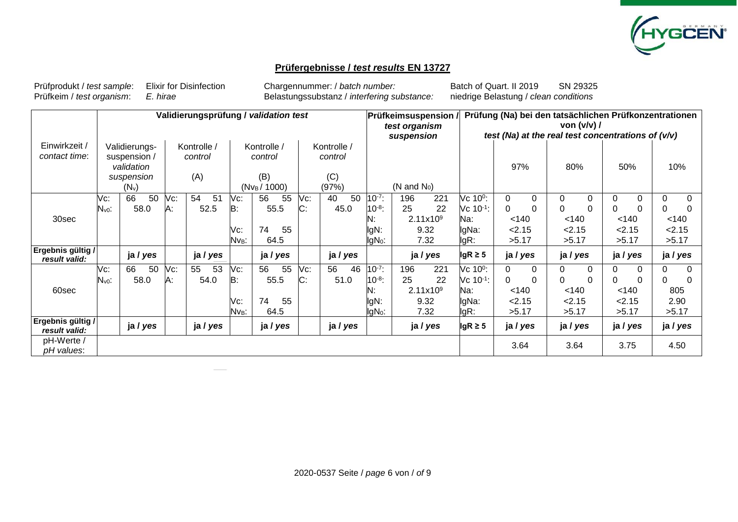

### **Prüfergebnisse /** *test results* **EN 13727**

Prüfprodukt / *test sample*: Elixir for Disinfection Chargennummer: / *batch number:* Batch of Quart. II 2019 SN 29325

Prüfkeim / *test organism*: *E. hirae* Belastungssubstanz / *interfering substance:* niedrige Belastung / *clean conditions*

|                                    | Validierungsprüfung / validation test |                                                                      |           |                               |                                       |                                                                                            |          |           |                        | Prüfung (Na) bei den tatsächlichen Prüfkonzentrationen<br><b>Prüfkeimsuspension</b><br>von $(v/v)$ /<br>test organism<br>test (Na) at the real test concentrations of $(v/v)$<br>suspension |           |                                                   |                                                                       |                                                |               |                                  |               |                                         |                      |                                                |                      |
|------------------------------------|---------------------------------------|----------------------------------------------------------------------|-----------|-------------------------------|---------------------------------------|--------------------------------------------------------------------------------------------|----------|-----------|------------------------|---------------------------------------------------------------------------------------------------------------------------------------------------------------------------------------------|-----------|---------------------------------------------------|-----------------------------------------------------------------------|------------------------------------------------|---------------|----------------------------------|---------------|-----------------------------------------|----------------------|------------------------------------------------|----------------------|
| Einwirkzeit /<br>contact time:     |                                       | Validierungs-<br>suspension /<br>validation<br>suspension<br>$(N_v)$ |           | Kontrolle /<br>control<br>(A) |                                       | Kontrolle /<br>Kontrolle /<br>control<br>control<br>(B)<br>(C)<br>(97%)<br>$(Nv_B / 1000)$ |          |           | $(N \text{ and } N_0)$ |                                                                                                                                                                                             |           |                                                   | 97%                                                                   |                                                | 80%           |                                  | 50%           |                                         | 10%                  |                                                |                      |
| 30sec                              | Vc:<br>$N_{v0}$ :                     | 50<br>66<br>58.0                                                     | Vc:<br>Α: | 54<br>5 <sup>1</sup><br>52.5  | Vc:<br>B:<br>Vc:<br>Nv <sub>B</sub> : | 56<br>55.5<br>74<br>64.5                                                                   | 55<br>55 | Vc:<br>C: | 40<br>50<br>45.0       | $10^{-7}$ :<br>$10^{-8}$ :<br>N:<br>lgN:<br>lgN <sub>0</sub> :                                                                                                                              | 196<br>25 | 221<br>22<br>2.11x10 <sup>9</sup><br>9.32<br>7.32 | Vc 10 <sup>0</sup> :<br>Vc 10 <sup>-1</sup> :<br>Na:<br>lgNa:<br>lgR: | 0<br>0<br>< 140<br>2.15<br>>5.17               | 0<br>0        | 0<br>ი<br>< 140<br>2.15<br>>5.17 | 0<br>0        | 0<br>0<br>< 140<br>2.15<br>>5.17        | $\Omega$<br>$\Omega$ | $\Omega$<br>$\Omega$<br>< 140<br>2.15<br>>5.17 | $\Omega$<br>$\Omega$ |
| Ergebnis gültig /<br>result valid: |                                       | ja / yes                                                             |           | ja / yes                      |                                       | ja / yes                                                                                   |          |           | ja / yes               |                                                                                                                                                                                             |           | ja / yes                                          | $lgR \geq 5$                                                          |                                                | ja / yes      | ja / yes                         |               | ja / yes                                |                      | ja / yes                                       |                      |
| 60sec                              | Vc:<br>$N_{v0}$ :                     | 66<br>50<br>58.0                                                     | Vc:<br>Α: | 53<br>55<br>54.0              | Vc:<br>B:<br>Vc:<br>Nv <sub>B</sub> : | 56<br>55.5<br>74<br>64.5                                                                   | 55<br>55 | Vc:<br>C: | 56<br>46<br>51.0       | $10^{-7}$ :<br>$10^{-8}$ :<br>N:<br>lgN:<br>lgN <sub>0</sub> :                                                                                                                              | 196<br>25 | 221<br>22<br>2.11x10 <sup>9</sup><br>9.32<br>7.32 | Vc 10 <sup>0</sup> :<br>Vc 10 <sup>-1</sup> :<br>Na:<br>lgNa:<br>lgR: | $\Omega$<br>$\Omega$<br>< 140<br>2.15<br>>5.17 | $\Omega$<br>0 | 0<br>ი<br>< 140<br>2.15<br>>5.17 | $\Omega$<br>0 | 0<br>$\Omega$<br>< 140<br>2.15<br>>5.17 | $\Omega$<br>0        | $\Omega$<br>0<br>805<br>2.90<br>>5.17          | $\Omega$<br>$\Omega$ |
| Ergebnis gültig /<br>result valid: |                                       | ja / yes                                                             |           | ja / yes                      |                                       | ja / yes                                                                                   |          |           | ja / yes               |                                                                                                                                                                                             |           | ja / yes                                          | $lgR \geq 5$                                                          |                                                | ja / yes      | ja / yes                         |               | ja / yes                                |                      | ja / yes                                       |                      |
| pH-Werte /<br>pH values:           |                                       |                                                                      |           |                               |                                       |                                                                                            |          |           |                        |                                                                                                                                                                                             |           |                                                   |                                                                       | 3.64                                           |               | 3.64                             |               | 3.75                                    |                      | 4.50                                           |                      |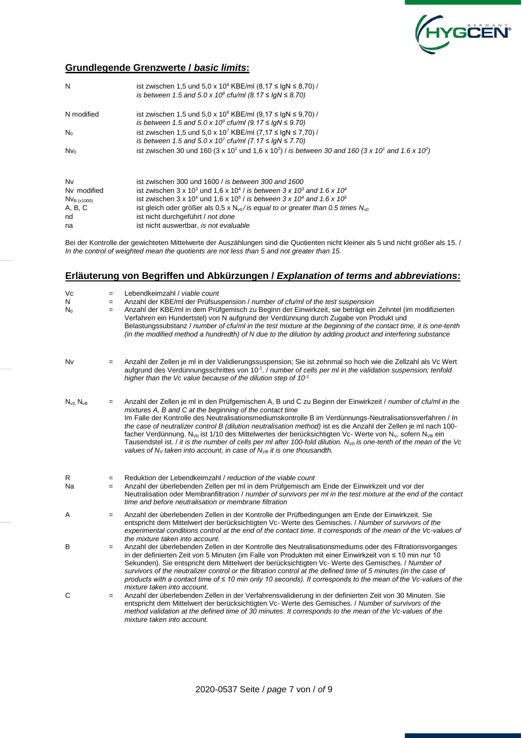

#### **Grundlegende Grenzwerte /** *basic limits***:**

| N                | ist zwischen 1,5 und 5,0 x 10 <sup>8</sup> KBE/ml (8,17 ≤ lgN ≤ 8,70) /<br>is between 1.5 and 5.0 x 10 <sup>8</sup> cfu/ml (8.17 ≤ lgN ≤ 8.70)    |
|------------------|---------------------------------------------------------------------------------------------------------------------------------------------------|
| N modified       | ist zwischen 1,5 und 5,0 x 10 <sup>9</sup> KBE/ml (9,17 ≤ lgN ≤ 9,70) /                                                                           |
|                  | is between 1.5 and 5.0 x 10 <sup>9</sup> cfu/ml (9.17 $\leq$ lgN $\leq$ 9.70)                                                                     |
| $N_0$            | ist zwischen 1,5 und 5,0 x 10 <sup>7</sup> KBE/ml (7,17 ≤ lgN ≤ 7,70) /                                                                           |
|                  | is between 1.5 and 5.0 x 10 <sup>7</sup> cfu/ml (7.17 $\leq$ lgN $\leq$ 7.70)                                                                     |
| N <sub>Vo</sub>  | ist zwischen 30 und 160 (3 x 10 <sup>1</sup> und 1,6 x 10 <sup>2</sup> ) / is between 30 and 160 (3 x 10 <sup>1</sup> and 1.6 x 10 <sup>2</sup> ) |
| Nv               | ist zwischen 300 und 1600 / is between 300 and 1600                                                                                               |
| Nv modified      | ist zwischen 3 x 10 <sup>3</sup> und 1.6 x 10 <sup>4</sup> / is between 3 x 10 <sup>3</sup> and 1.6 x 10 <sup>4</sup>                             |
| $Nv_{B (x1000)}$ | ist zwischen 3 x 10 <sup>4</sup> und 1.6 x 10 <sup>5</sup> / is between 3 x 10 <sup>4</sup> and 1.6 x 10 <sup>5</sup>                             |
| A, B, C          | ist gleich oder größer als 0,5 x $N_{\nu 0}$ / is equal to or greater than 0.5 times $N_{\nu 0}$                                                  |
| nd               | ist nicht durchgeführt / not done                                                                                                                 |
| na               | ist nicht auswertbar, is not evaluable                                                                                                            |

Bei der Kontrolle der gewichteten Mittelwerte der Auszählungen sind die Quotienten nicht kleiner als 5 und nicht größer als 15. / *In the control of weighted mean the quotients are not less than 5 and not greater than 15.*

#### **Erläuterung von Begriffen und Abkürzungen /** *Explanation of terms and abbreviations***:**

| Vc<br>N<br>$N_0$    | $=$<br>$=$<br>$=$ | Lebendkeimzahl / viable count<br>Anzahl der KBE/ml der Prüfsuspension / number of cfu/ml of the test suspension<br>Anzahl der KBE/ml in dem Prüfgemisch zu Beginn der Einwirkzeit, sie beträgt ein Zehntel (im modifizierten<br>Verfahren ein Hundertstel) von N aufgrund der Verdünnung durch Zugabe von Produkt und<br>Belastungssubstanz / number of cfu/ml in the test mixture at the beginning of the contact time, it is one-tenth<br>(in the modified method a hundredth) of N due to the dilution by adding product and interfering substance                                                                                                                                                                                                                     |
|---------------------|-------------------|---------------------------------------------------------------------------------------------------------------------------------------------------------------------------------------------------------------------------------------------------------------------------------------------------------------------------------------------------------------------------------------------------------------------------------------------------------------------------------------------------------------------------------------------------------------------------------------------------------------------------------------------------------------------------------------------------------------------------------------------------------------------------|
| Nv                  | $=$               | Anzahl der Zellen je ml in der Validierungssuspension; Sie ist zehnmal so hoch wie die Zellzahl als Vc Wert<br>aufgrund des Verdünnungsschrittes von 10 <sup>-1</sup> . / number of cells per ml in the validation suspension; tenfold<br>higher than the Vc value because of the dilution step of $10^{-1}$                                                                                                                                                                                                                                                                                                                                                                                                                                                              |
| $N_{v0}$ , $N_{vB}$ | $=$               | Anzahl der Zellen je ml in den Prüfgemischen A, B und C zu Beginn der Einwirkzeit / number of cfu/ml in the<br>mixtures A, B and C at the beginning of the contact time<br>Im Falle der Kontrolle des Neutralisationsmediumskontrolle B im Verdünnungs-Neutralisationsverfahren / In<br>the case of neutralizer control B (dilution neutralisation method) ist es die Anzahl der Zellen je ml nach 100-<br>facher Verdünnung. N <sub>y0</sub> ist 1/10 des Mittelwertes der berücksichtigten Vc-Werte von N <sub>y</sub> , sofern N <sub>yB</sub> ein<br>Tausendstel ist. / it is the number of cells per ml after 100-fold dilution. N <sub>V0</sub> is one-tenth of the mean of the Vc<br>values of $N_V$ taken into account, in case of $N_{VB}$ it is one thousandth. |
| R<br><b>Na</b>      | $=$<br>$=$        | Reduktion der Lebendkeimzahl / reduction of the viable count<br>Anzahl der überlebenden Zellen per ml in dem Prüfgemisch am Ende der Einwirkzeit und vor der<br>Neutralisation oder Membranfiltration / number of survivors per ml in the test mixture at the end of the contact<br>time and before neutralisation or membrane filtration                                                                                                                                                                                                                                                                                                                                                                                                                                 |
| Α                   | $=$               | Anzahl der überlebenden Zellen in der Kontrolle der Prüfbedingungen am Ende der Einwirkzeit. Sie<br>entspricht dem Mittelwert der berücksichtigten Vc-Werte des Gemisches. / Number of survivors of the<br>experimental conditions control at the end of the contact time. It corresponds of the mean of the Vc-values of<br>the mixture taken into account.                                                                                                                                                                                                                                                                                                                                                                                                              |
| B                   | $=$               | Anzahl der überlebenden Zellen in der Kontrolle des Neutralisationsmediums oder des Filtrationsvorganges<br>in der definierten Zeit von 5 Minuten (im Falle von Produkten mit einer Einwirkzeit von ≤ 10 min nur 10<br>Sekunden). Sie entspricht dem Mittelwert der berücksichtigten Vc- Werte des Gemisches. / Number of<br>survivors of the neutralizer control or the filtration control at the defined time of 5 minutes (in the case of<br>products with a contact time of $\leq 10$ min only 10 seconds). It corresponds to the mean of the Vc-values of the<br>mixture taken into account.                                                                                                                                                                         |
| C                   | $=$               | Anzahl der überlebenden Zellen in der Verfahrensvalidierung in der definierten Zeit von 30 Minuten. Sie<br>entspricht dem Mittelwert der berücksichtigten Vc- Werte des Gemisches. / Number of survivors of the<br>method validation at the defined time of 30 minutes. It corresponds to the mean of the Vc-values of the<br>mixture taken into account.                                                                                                                                                                                                                                                                                                                                                                                                                 |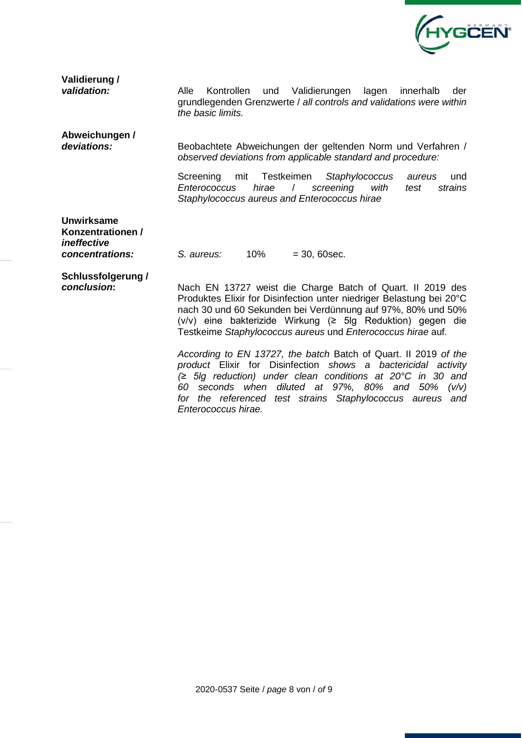

| Validierung /           |  |
|-------------------------|--|
| validation <sup>.</sup> |  |

*validation:* Alle Kontrollen und Validierungen lagen innerhalb der grundlegenden Grenzwerte / *all controls and validations were within the basic limits.*

**Abweichungen /** 

deviations: Beobachtete Abweichungen der geltenden Norm und Verfahren / *observed deviations from applicable standard and procedure:*

> Screening mit Testkeimen *Staphylococcus aureus* und *Enterococcus hirae* / *screening with test strains Staphylococcus aureus and Enterococcus hirae*

**Unwirksame Konzentrationen /**  *ineffective* 

*concentrations: S. aureus:* 10% = 30, 60sec.

**Schlussfolgerung /** 

*conclusion***:** Nach EN 13727 weist die Charge Batch of Quart. II 2019 des Produktes Elixir for Disinfection unter niedriger Belastung bei 20°C nach 30 und 60 Sekunden bei Verdünnung auf 97%, 80% und 50% (v/v) eine bakterizide Wirkung (≥ 5lg Reduktion) gegen die Testkeime *Staphylococcus aureus* und *Enterococcus hirae* auf*.*

*According to EN 13727, the batch* Batch of Quart. II 2019 *of the product* Elixir for Disinfection *shows a bactericidal activity (≥ 5lg reduction) under clean conditions at 20°C in 30 and 60 seconds when diluted at 97%, 80% and 50% (v/v) for the referenced test strains Staphylococcus aureus and Enterococcus hirae.*